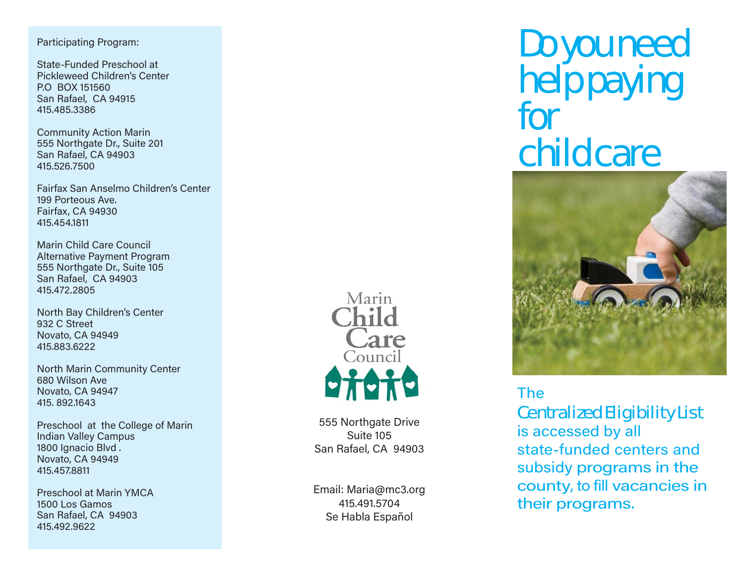#### Participating Program:

State-Funded Preschool at Pickleweed Children's Center P.O BOX 151560 San Rafael, CA 94915 415.485.3386

Community Action Marin 555 Northgate Dr., Suite 201 San Rafael, CA 94903 415.526.7500

Fairfax San Anselmo Children's Center199 Porteous Ave.Fairfax, CA 94930 415.454.1811

Marin Child Care Council Alternative Payment Program 555 Northgate Dr., Suite 105 San Rafael, CA 94903 415.472.2805

North Bay Children's Center 932 C StreetNovato, CA 94949 415.883.6222

North Marin Community Center 680 Wilson Ave Novato, CA 94947 415. 892.1643

Preschool at the College of Marin Indian Valley Campus 1800 Ignacio Blvd . Novato, CA 94949 415.457.8811

Preschool at Marin YMCA1500 Los GamosSan Rafael, CA 94903 415.492.9622



555 Northgate Drive Suite 105San Rafael, CA 94903

Email: Maria@mc3.org 415.491.5704Se Habla Español

# Do you need help paying for child care



### The

Centralized Eligibility List

is accessed by all state-funded centers and subsidy programs in the county, to fill vacancies in their programs.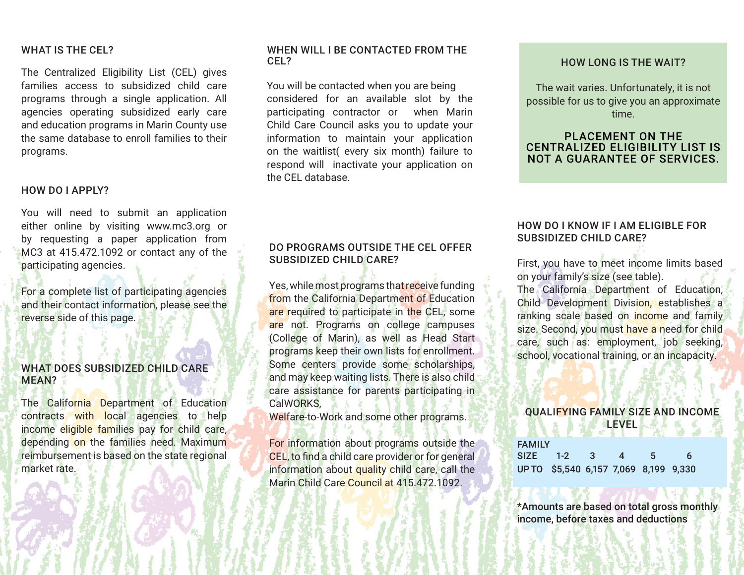#### WHAT IS THE CEL?

The Centralized Eligibility List (CEL) gives families access to subsidized child care programs through a single application. All agencies operating subsidized early care and education programs in Marin County use the same database to enroll families to their programs.

#### HOW DO I APPLY?

You will need to submit an application either online by visiting www.mc3.org or by requesting a paper application from MC3 at 415.472.1092 or contact any of the participating agencies.

For a complete list of participating agencies and their contact information, please see the reverse side of this page.

#### WHAT DOES SUBSIDIZED CHILD CARE MEAN?

The California Department of Education contracts with local agencies to help income eligible families pay for child care, depending on the families need. Maximum reimbursement is based on the state regional market rate.

#### WHEN WILL I BE CONTACTED FROM THE CEL?

You will be contacted when you are being considered for an available slot by the participating contractor or when Marin Child Care Council asks you to update your information to maintain your application on the waitlist( every six month) failure to respond will inactivate your application on the CEL database.

#### DO PROGRAMS OUTSIDE THE CEL OFFER SUBSIDIZED CHILD CARE?

Yes, while most programs that receive funding from the California Department of Education are required to participate in the CEL, some are not. Programs on college campuses (College of Marin), as well as Head Start programs keep their own lists for enrollment. Some centers provide some scholarships, and may keep waiting lists. There is also child care assistance for parents participating in CalWORKS,

Welfare-to-Work and some other programs.

For information about programs outside the CEL, to find a child care provider or for general information about quality child care, call the Marin Child Care Council at 415.472.1092.

#### HOW LONG IS THE WAIT?

The wait varies. Unfortunately, it is not possible for us to give you an approximate time.

#### PLACEMENT ON THE CENTRALIZED ELIGIBILITY LIST IS NOT A GUARANTEE OF SERVICES.

#### HOW DO I KNOW IF I AM ELIGIBLE FOR SUBSIDIZED CHILD CARE?

First, you have to meet income limits based on your family's size (see table).

The California Department of Education, Child Development Division, establishes a ranking scale based on income and family size. Second, you must have a need for child care, such as: employment, job seeking, school, vocational training, or an incapacity.

#### QUALIFYING FAMILY SIZE AND INCOME LEVEL

| <b>FAMILY</b> |                                       |              |     |          |
|---------------|---------------------------------------|--------------|-----|----------|
|               | SIZE 1-2 3                            | $\mathbf{A}$ | -5. | <b>6</b> |
|               | UP TO \$5,540 6,157 7,069 8,199 9,330 |              |     |          |

\*Amounts are based on total gross monthly income, before taxes and deductions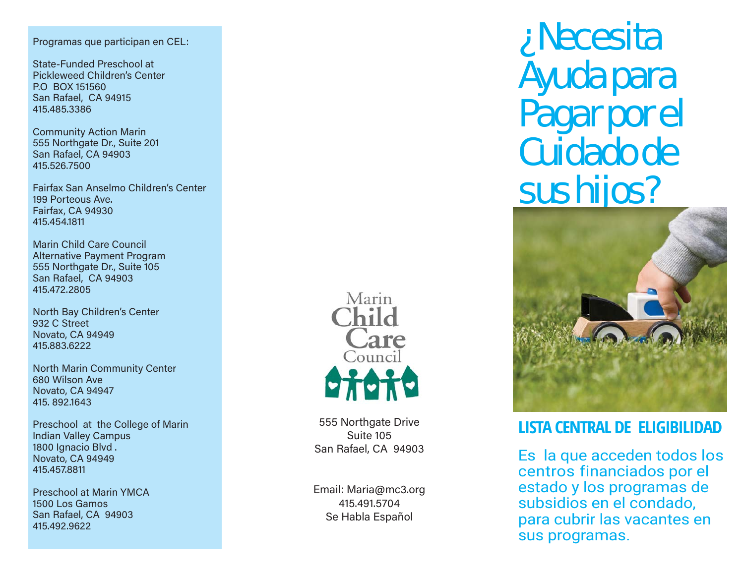Programas que participan en CEL:

State-Funded Preschool at Pickleweed Children's Center P.O BOX 151560 San Rafael, CA 94915 415.485.3386

Community Action Marin 555 Northgate Dr., Suite 201 San Rafael, CA 94903 415.526.7500

Fairfax San Anselmo Children's Center199 Porteous Ave.Fairfax, CA 94930 415.454.1811

Marin Child Care Council Alternative Payment Program 555 Northgate Dr., Suite 105 San Rafael, CA 94903 415.472.2805

North Bay Children's Center 932 C StreetNovato, CA 94949 415.883.6222

North Marin Community Center 680 Wilson Ave Novato, CA 94947 415. 892.1643

Preschool at the College of Marin Indian Valley Campus 1800 Ignacio Blvd . Novato, CA 94949 415.457.8811

Preschool at Marin YMCA1500 Los GamosSan Rafael, CA 94903 415.492.9622



555 Northgate Drive Suite 105San Rafael, CA 94903

Email: Maria@mc3.org 415.491.5704Se Habla Español

# ¿Necesita Ayuda para Pagar por el Cuidado de sus hijos?



## **LISTA CENTRAL DE ELIGIBILIDAD**

Es la que acceden todos los centros financiados por el estado y los programas de subsidios en el condado, para cubrir las vacantes en sus programas.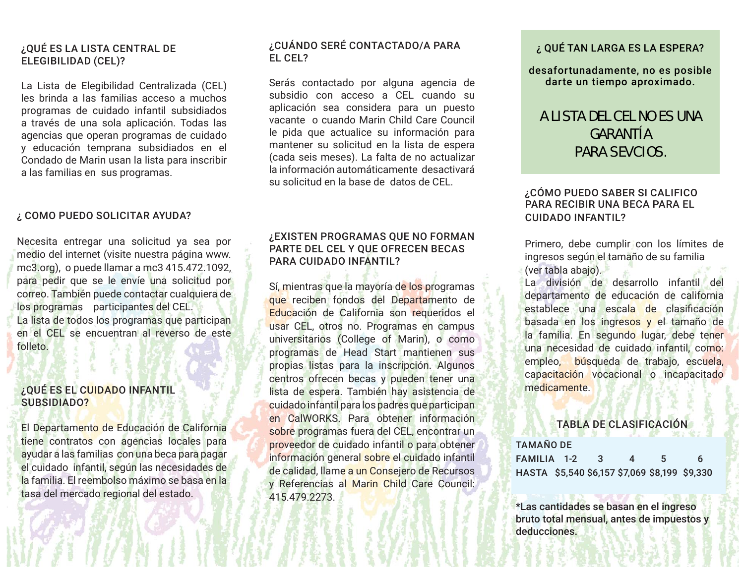#### ¿QUÉ ES LA LISTA CENTRAL DE ELEGIBILIDAD (CEL)?

La Lista de Elegibilidad Centralizada (CEL) les brinda a las familias acceso a muchos programas de cuidado infantil subsidiados a través de una sola aplicación. Todas las agencias que operan programas de cuidado y educación temprana subsidiados en el Condado de Marin usan la lista para inscribir a las familias en sus programas.

#### ¿ COMO PUEDO SOLICITAR AYUDA?

Necesita entregar una solicitud ya sea por medio del internet (visite nuestra página www. mc3.org), o puede llamar a mc3 415.472.1092, para pedir que se le envíe una solicitud por correo. También puede contactar cualquiera de los programas participantes del CEL. La lista de todos los programas que participan en el CEL se encuentran al reverso de este folleto.

#### ¿QUÉ ES EL CUIDADO INFANTIL SUBSIDIADO?

El Departamento de Educación de California tiene contratos con agencias locales para ayudar a las familias con una beca para pagar el cuidado infantil, según las necesidades de la familia. El reembolso máximo se basa en la tasa del mercado regional del estado.

#### ¿CUÁNDO SERÉ CONTACTADO/A PARA EL CEL?

Serás contactado por alguna agencia de subsidio con acceso a CEL cuando su aplicación sea considera para un puesto vacante o cuando Marin Child Care Council le pida que actualice su información para mantener su solicitud en la lista de espera (cada seis meses). La falta de no actualizar la información automáticamente desactivará su solicitud en la base de datos de CEL.

#### ¿EXISTEN PROGRAMAS QUE NO FORMAN PARTE DEL CEL Y QUE OFRECEN BECAS PARA CUIDADO INFANTIL?

Sí, mientras que la mayoría de los programas que reciben fondos del Departamento de Educación de California son requeridos el usar CEL, otros no. Programas en campus universitarios (College of Marin), o como programas de Head Start mantienen sus propias listas para la inscripción. Algunos centros ofrecen becas y pueden tener una lista de espera. También hay asistencia de cuidado infantil para los padres que participan en CalWORKS. Para obtener información sobre programas fuera del CEL, encontrar un proveedor de cuidado infantil o para obtener información general sobre el cuidado infantil de calidad, llame a un Consejero de Recursos y Referencias al Marin Child Care Council: 415.479.2273.

#### ¿ QUÉ TAN LARGA ES LA ESPERA?

desafortunadamente, no es posible darte un tiempo aproximado.

### A LISTA DEL CEL NO ES UNA GARANTÍA PARA SEVCIOS.

#### ¿CÓMO PUEDO SABER SI CALIFICO PARA RECIBIR UNA BECA PARA EL CUIDADO INFANTIL?

Primero, debe cumplir con los límites de ingresos según el tamaño de su familia (ver tabla abajo).

La división de desarrollo infantil del departamento de educación de california establece una escala de clasificación basada en los ingresos y el tamaño de la familia. En segundo lugar, debe tener una necesidad de cuidado infantil, como: empleo, búsqueda de trabajo, escuela, capacitación vocacional o incapacitado medicamente.

#### TABLA DE CLASIFICACIÓN

| <b>TAMAÑO DE</b>                              |  |     |              |    |   |  |  |  |
|-----------------------------------------------|--|-----|--------------|----|---|--|--|--|
| FAMILIA 1-2                                   |  | - 3 | $\mathbf{A}$ | .5 | 6 |  |  |  |
| HASTA \$5,540 \$6,157 \$7,069 \$8,199 \$9,330 |  |     |              |    |   |  |  |  |

\*Las cantidades se basan en el ingreso bruto total mensual, antes de impuestos y deducciones.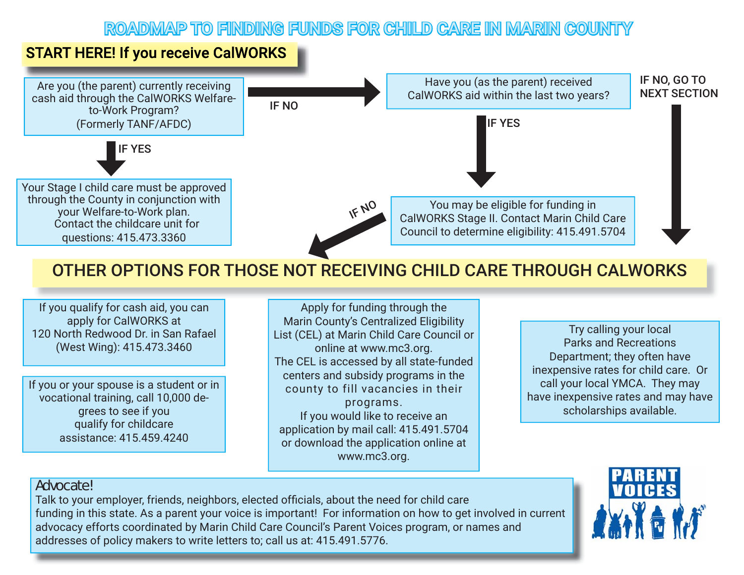## ROADMAP TO FINDING FUNDS FOR CHILD CARE IN MARIN COUNTY

## **START HERE! If you receive CalWORKS**



## OTHER OPTIONS FOR THOSE NOT RECEIVING CHILD CARE THROUGH CALWORKS

If you qualify for cash aid, you can apply for CalWORKS at 120 North Redwood Dr. in San Rafael (West Wing): 415.473.3460

If you or your spouse is a student or in vocational training, call 10,000 degrees to see if you qualify for childcare assistance: 415.459.4240

Apply for funding through the Marin County's Centralized Eligibility List (CEL) at Marin Child Care Council or online at www.mc3.org. The CEL is accessed by all state-funded centers and subsidy programs in the county to fill vacancies in their programs. If you would like to receive an application by mail call: 415.491.5704 or download the application online at www.mc3.org.

Try calling your local Parks and Recreations Department; they often have inexpensive rates for child care. Or call your local YMCA. They may have inexpensive rates and may have scholarships available.

#### **Advocate!**

Talk to your employer, friends, neighbors, elected officials, about the need for child care funding in this state. As a parent your voice is important! For information on how to get involved in current advocacy efforts coordinated by Marin Child Care Council's Parent Voices program, or names and addresses of policy makers to write letters to; call us at: 415.491.5776.